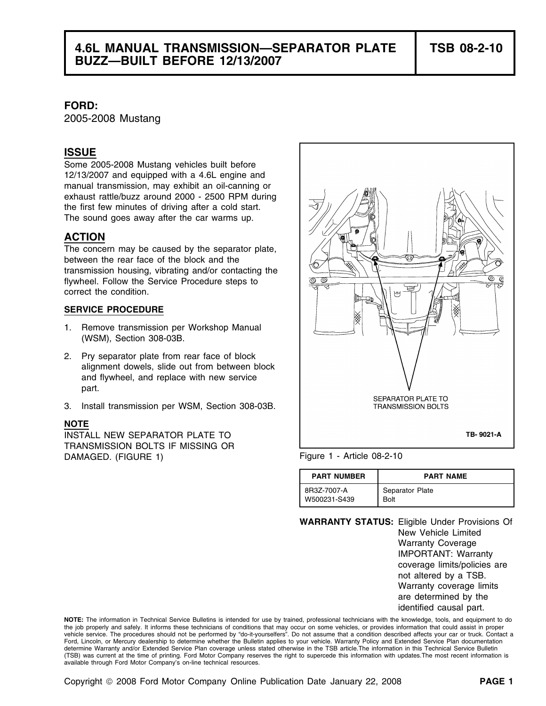**FORD:**

2005-2008 Mustang

### **ISSUE**

Some 2005-2008 Mustang vehicles built before 12/13/2007 and equipped with a 4.6L engine and manual transmission, may exhibit an oil-canning or exhaust rattle/buzz around 2000 - 2500 RPM during the first few minutes of driving after a cold start. The sound goes away after the car warms up.

## **ACTION**

The concern may be caused by the separator plate, between the rear face of the block and the transmission housing, vibrating and/or contacting the flywheel. Follow the Service Procedure steps to correct the condition.

#### **SERVICE PROCEDURE**

- 1. Remove transmission per Workshop Manual (WSM), Section 308-03B.
- 2. Pry separator plate from rear face of block alignment dowels, slide out from between block and flywheel, and replace with new service part.
- 3. Install transmission per WSM, Section 308-03B.

#### **NOTE**

INSTALL NEW SEPARATOR PLATE TO TRANSMISSION BOLTS IF MISSING OR DAMAGED. (FIGURE 1) Figure 1 - Article 08-2-10



| <b>PART NUMBER</b> | <b>PART NAME</b> |
|--------------------|------------------|
| 8R3Z-7007-A        | Separator Plate  |
| W500231-S439       | Bolt             |

**WARRANTY STATUS:** Eligible Under Provisions Of New Vehicle Limited Warranty Coverage IMPORTANT: Warranty coverage limits/policies are not altered by a TSB. Warranty coverage limits are determined by the identified causal part.

**NOTE:** The information in Technical Service Bulletins is intended for use by trained, professional technicians with the knowledge, tools, and equipment to do the job properly and safely. It informs these technicians of conditions that may occur on some vehicles, or provides information that could assist in proper vehicle service. The procedures should not be performed by "do-it-yourselfers". Do not assume that a condition described affects your car or truck. Contact a Ford, Lincoln, or Mercury dealership to determine whether the Bulletin applies to your vehicle. Warranty Policy and Extended Service Plan documentation determine Warranty and/or Extended Service Plan coverage unless stated otherwise in the TSB article.The information in this Technical Service Bulletin (TSB) was current at the time of printing. Ford Motor Company reserves the right to supercede this information with updates.The most recent information is available through Ford Motor Company's on-line technical resources.